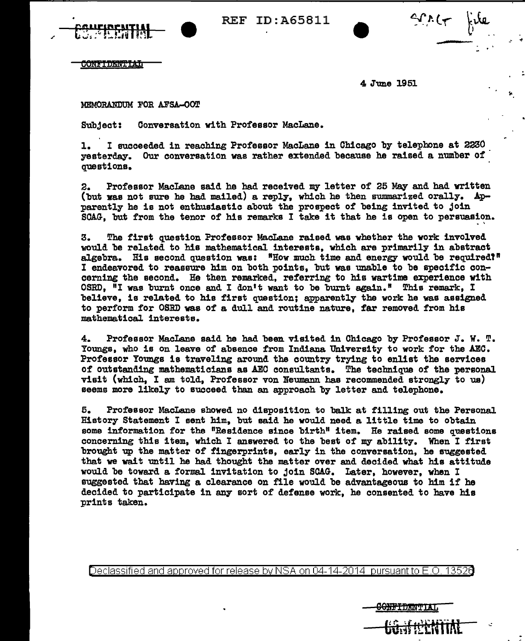

REF ID:A65811



..

**CONFIDENTIAL** 

4 June 1951

<del>SONFIDANTIAT</del>

MEMORANDUM FOR AFSA-OOT

Subject: Conversation with Professor MacLane.

1. I succeeded in reaching Professor MacLane in Chicago by telephone at 2230 yesterday. Our conversation was rather extended because he raised a number of questions.

2. Professor MacLane said he had received my letter of 25 May and had written (but was not sure he had mailed) a reply, which he then sumnarized orally. Apparently he is not enthusiastic about the prospect of being invited to join SCAG, but from the tenor of his remarks I take it that he is open to persuasion.

3. The first question Professor Ma.cLane raised was whether the work involved would be related to his mathematical interests, which are primarily in abstract algebra. His second question was: "How much time and energy would be required!" I endeavored to reassure him on both points, but was unable to be specific concerning the second. He then remarked, referring to his wartime experience with OSRD, <sup>N</sup>I was burnt once and I don't want to be burnt again." This remark. I believe, is related to his first question; apparently the work he was assigned to perform for OSRD was of a dull and routine nature, far removed from his mathematical interests.

4. Professor MacLane said he had been visited in Chicago by Professor J. W. T. Youngs, who is on leave of absence from Indiana University to work for the AEC. Professor Youngs is traveling around the country trying to enlist the services of outstanding mathematicians as AEO consultants. The technique of the personal visit (which, I am told, Professor von Neumann has recommended strongly to us) seems more likely to succeed than an approach by letter and telephone.

5. Professor MacLane showed no disposition to balk at filling out the Personal History Statement I sent him, but said he would need a little time to obtain some information for the "Residence since birth" item. He raised some questions concerning this item, which I answered to the best of my ability. When I first brought up the matter of fingerprints, early in the conversation, be suggested that we wait until he had thought the matter over and decided what his attitude would be toward a formal invitation to join SCAG. Later, however, when I suggested that having a clearance on file would be advantageous to him if he decided to participate in any sort of defense work, he consented to have his prints taken.

Declassified and approved for release by NSA on 04-14-2014 pursuantto E.O. 1352a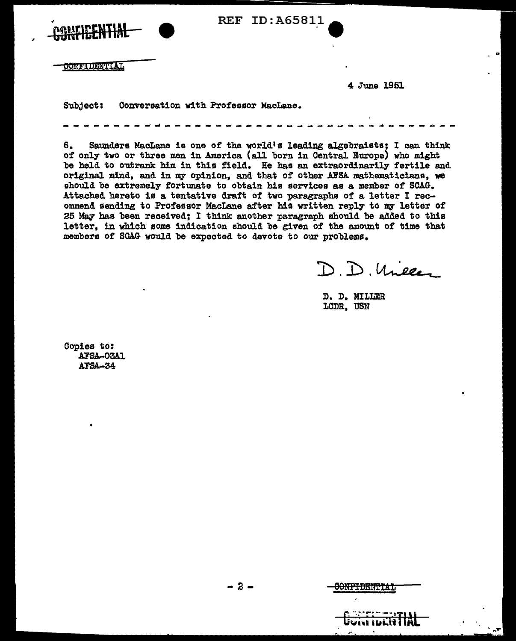| CONFICENTIAL     | REF ID:A65811                        |                |  |
|------------------|--------------------------------------|----------------|--|
| <b>CONFIDENT</b> |                                      | $\blacksquare$ |  |
|                  |                                      | 4 June 1951    |  |
| Subject:         | Conversation with Professor MacLane. |                |  |
|                  |                                      |                |  |

6. Saunders MacLane is one of the world's leading algebraists; I can think of only two or three men in America (all born in CentraJ. Europe) who might be held to outrank him in this field. He has an extraordinarily fertile and original mind, and in my opinion, and that of other AFSA mathematicians, we should be extremely fortunate to obtain his services as a member of SCAG. Attached hereto is a tentative draft of two paragraphs of a letter I recommend sending to Professor MacLane after his written reply to my letter of 25 May has been received; I think another paragraph should be added to this letter, in which some indication should be given of the amount of time that members of SCAG would be expected to devote to our problems.

D.D. Uneler

D. D. MILLER LODR, USM

Copies to: AFSA-03A1 AFSA-34

..

 $\gamma_{\rm eff}$ 

-2-